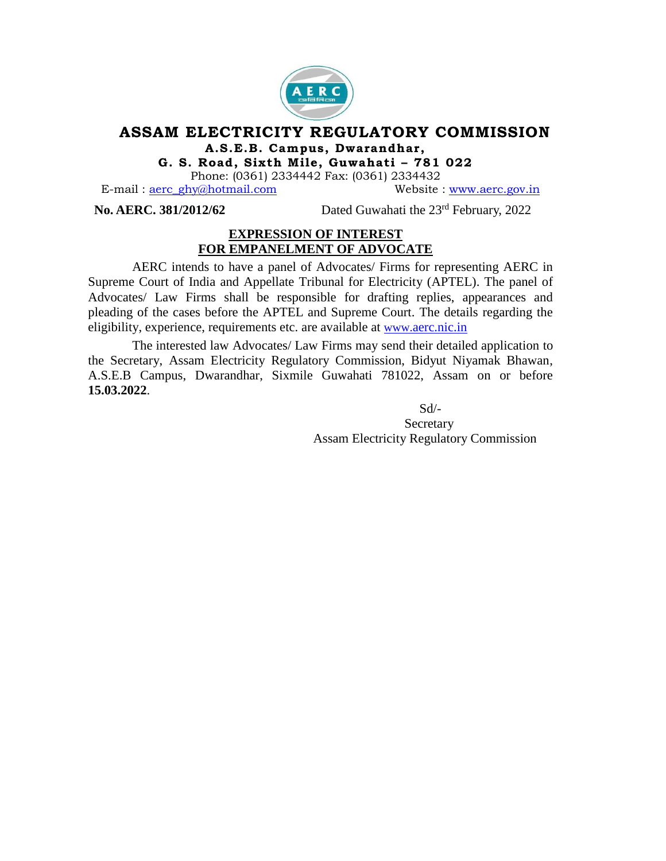

## **ASSAM ELECTRICITY REGULATORY COMMISSION A.S .E.B . Campus , Dwarandhar ,**

**G . S . Road , Six th M i le, Guwahat i – 781 022**

Phone: (0361) 2334442 Fax: (0361) 2334432

E-mail : [aerc\\_ghy@hotmail.com](mailto:aerc_ghy@hotmail.com) Website : [www.aerc.gov.in](http://www.aerc.gov.in/)

**No. AERC. 381/2012/62** 

Dated Guwahati the  $23<sup>rd</sup>$  February, 2022

## **EXPRESSION OF INTEREST FOR EMPANELMENT OF ADVOCATE**

AERC intends to have a panel of Advocates/ Firms for representing AERC in Supreme Court of India and Appellate Tribunal for Electricity (APTEL). The panel of Advocates/ Law Firms shall be responsible for drafting replies, appearances and pleading of the cases before the APTEL and Supreme Court. The details regarding the eligibility, experience, requirements etc. are available at www.[aerc.nic.in](http://www.aerc.nic.in/)

The interested law Advocates/ Law Firms may send their detailed application to the Secretary, Assam Electricity Regulatory Commission, Bidyut Niyamak Bhawan, A.S.E.B Campus, Dwarandhar, Sixmile Guwahati 781022, Assam on or before **15.03.2022**.

Sd/-

 Secretary Assam Electricity Regulatory Commission